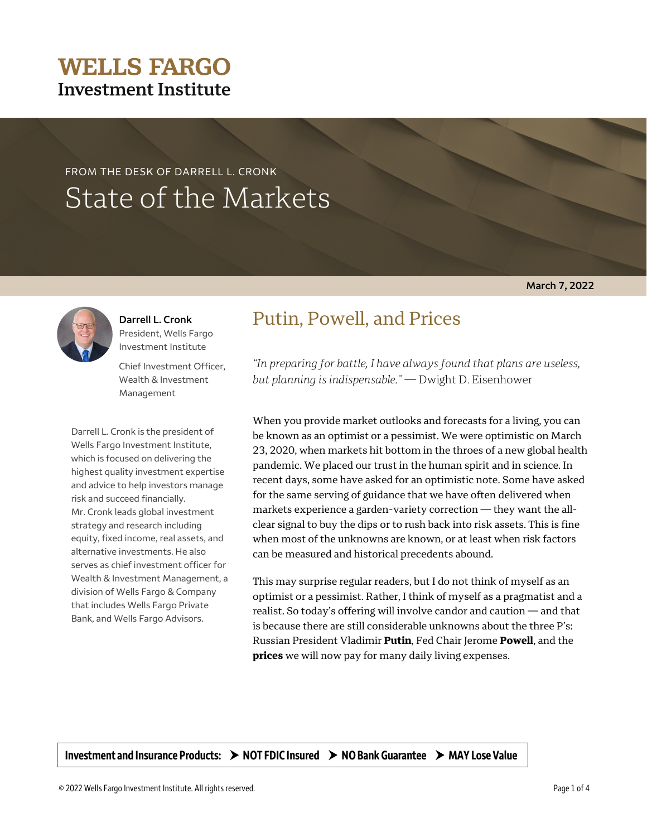#### © 2022 Wells Fargo Investment Institute. All rights reserved. Page 1 of 4

Investment and Insurance Products:  $\rightarrow$  NOT FDIC Insured  $\rightarrow$  NO Bank Guarantee  $\rightarrow$  MAY Lose Value

# **WELLS FARGO Investment Institute**

# FROM THE DESK OF DARRELL L. CRONK State of the Markets

## **March 7, 2022**



Chief Investment Officer, Wealth & Investment Management

Darrell L. Cronk is the president of Wells Fargo Investment Institute, which is focused on delivering the highest quality investment expertise and advice to help investors manage risk and succeed financially. Mr. Cronk leads global investment strategy and research including equity, fixed income, real assets, and alternative investments. He also serves as chief investment officer for Wealth & Investment Management, a division of Wells Fargo & Company that includes Wells Fargo Private Bank, and Wells Fargo Advisors.

# Putin, Powell, and Prices

*"In preparing for battle, I have always found that plans are useless, but planning is indispensable."* — Dwight D. Eisenhower

When you provide market outlooks and forecasts for a living, you can be known as an optimist or a pessimist. We were optimistic on March 23, 2020, when markets hit bottom in the throes of a new global health pandemic. We placed our trust in the human spirit and in science. In recent days, some have asked for an optimistic note. Some have asked for the same serving of guidance that we have often delivered when markets experience a garden-variety correction — they want the allclear signal to buy the dips or to rush back into risk assets. This is fine when most of the unknowns are known, or at least when risk factors can be measured and historical precedents abound.

This may surprise regular readers, but I do not think of myself as an optimist or a pessimist. Rather, I think of myself as a pragmatist and a realist. So today's offering will involve candor and caution — and that is because there are still considerable unknowns about the three P's: Russian President Vladimir **Putin**, Fed Chair Jerome **Powell**, and the **prices** we will now pay for many daily living expenses.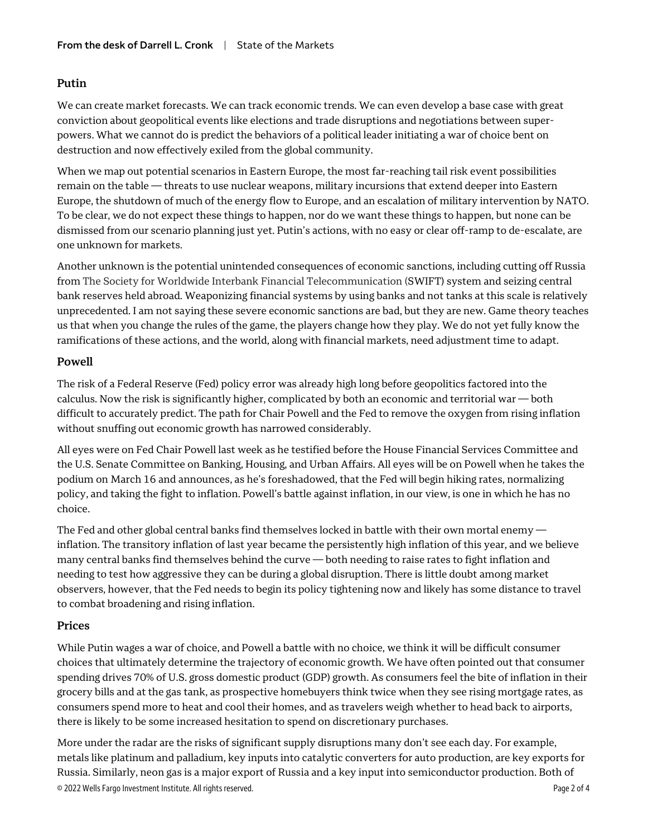### **Putin**

We can create market forecasts. We can track economic trends. We can even develop a base case with great conviction about geopolitical events like elections and trade disruptions and negotiations between superpowers. What we cannot do is predict the behaviors of a political leader initiating a war of choice bent on destruction and now effectively exiled from the global community.

When we map out potential scenarios in Eastern Europe, the most far-reaching tail risk event possibilities remain on the table — threats to use nuclear weapons, military incursions that extend deeper into Eastern Europe, the shutdown of much of the energy flow to Europe, and an escalation of military intervention by NATO. To be clear, we do not expect these things to happen, nor do we want these things to happen, but none can be dismissed from our scenario planning just yet. Putin's actions, with no easy or clear off-ramp to de-escalate, are one unknown for markets.

Another unknown is the potential unintended consequences of economic sanctions, including cutting off Russia from The Society for Worldwide Interbank Financial Telecommunication (SWIFT) system and seizing central bank reserves held abroad. Weaponizing financial systems by using banks and not tanks at this scale is relatively unprecedented. I am not saying these severe economic sanctions are bad, but they are new. Game theory teaches us that when you change the rules of the game, the players change how they play. We do not yet fully know the ramifications of these actions, and the world, along with financial markets, need adjustment time to adapt.

### **Powell**

The risk of a Federal Reserve (Fed) policy error was already high long before geopolitics factored into the calculus. Now the risk is significantly higher, complicated by both an economic and territorial war — both difficult to accurately predict. The path for Chair Powell and the Fed to remove the oxygen from rising inflation without snuffing out economic growth has narrowed considerably.

All eyes were on Fed Chair Powell last week as he testified before the House Financial Services Committee and the U.S. Senate Committee on Banking, Housing, and Urban Affairs. All eyes will be on Powell when he takes the podium on March 16 and announces, as he's foreshadowed, that the Fed will begin hiking rates, normalizing policy, and taking the fight to inflation. Powell's battle against inflation, in our view, is one in which he has no choice.

The Fed and other global central banks find themselves locked in battle with their own mortal enemy inflation. The transitory inflation of last year became the persistently high inflation of this year, and we believe many central banks find themselves behind the curve — both needing to raise rates to fight inflation and needing to test how aggressive they can be during a global disruption. There is little doubt among market observers, however, that the Fed needs to begin its policy tightening now and likely has some distance to travel to combat broadening and rising inflation.

### **Prices**

While Putin wages a war of choice, and Powell a battle with no choice, we think it will be difficult consumer choices that ultimately determine the trajectory of economic growth. We have often pointed out that consumer spending drives 70% of U.S. gross domestic product (GDP) growth. As consumers feel the bite of inflation in their grocery bills and at the gas tank, as prospective homebuyers think twice when they see rising mortgage rates, as consumers spend more to heat and cool their homes, and as travelers weigh whether to head back to airports, there is likely to be some increased hesitation to spend on discretionary purchases.

© 2022 Wells Fargo Investment Institute. All rights reserved. Page 2 of 4 More under the radar are the risks of significant supply disruptions many don't see each day. For example, metals like platinum and palladium, key inputs into catalytic converters for auto production, are key exports for Russia. Similarly, neon gas is a major export of Russia and a key input into semiconductor production. Both of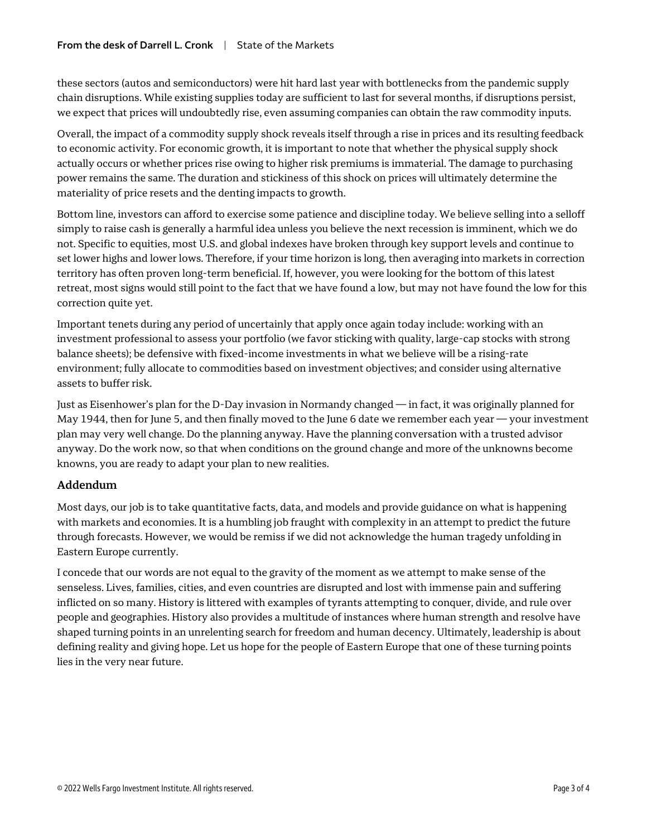these sectors (autos and semiconductors) were hit hard last year with bottlenecks from the pandemic supply chain disruptions. While existing supplies today are sufficient to last for several months, if disruptions persist, we expect that prices will undoubtedly rise, even assuming companies can obtain the raw commodity inputs.

Overall, the impact of a commodity supply shock reveals itself through a rise in prices and its resulting feedback to economic activity. For economic growth, it is important to note that whether the physical supply shock actually occurs or whether prices rise owing to higher risk premiums is immaterial. The damage to purchasing power remains the same. The duration and stickiness of this shock on prices will ultimately determine the materiality of price resets and the denting impacts to growth.

Bottom line, investors can afford to exercise some patience and discipline today. We believe selling into a selloff simply to raise cash is generally a harmful idea unless you believe the next recession is imminent, which we do not. Specific to equities, most U.S. and global indexes have broken through key support levels and continue to set lower highs and lower lows. Therefore, if your time horizon is long, then averaging into markets in correction territory has often proven long-term beneficial. If, however, you were looking for the bottom of this latest retreat, most signs would still point to the fact that we have found a low, but may not have found the low for this correction quite yet.

Important tenets during any period of uncertainly that apply once again today include: working with an investment professional to assess your portfolio (we favor sticking with quality, large-cap stocks with strong balance sheets); be defensive with fixed-income investments in what we believe will be a rising-rate environment; fully allocate to commodities based on investment objectives; and consider using alternative assets to buffer risk.

Just as Eisenhower's plan for the D-Day invasion in Normandy changed — in fact, it was originally planned for May 1944, then for June 5, and then finally moved to the June 6 date we remember each year  $-$  your investment plan may very well change. Do the planning anyway. Have the planning conversation with a trusted advisor anyway. Do the work now, so that when conditions on the ground change and more of the unknowns become knowns, you are ready to adapt your plan to new realities.

### **Addendum**

Most days, our job is to take quantitative facts, data, and models and provide guidance on what is happening with markets and economies. It is a humbling job fraught with complexity in an attempt to predict the future through forecasts. However, we would be remiss if we did not acknowledge the human tragedy unfolding in Eastern Europe currently.

I concede that our words are not equal to the gravity of the moment as we attempt to make sense of the senseless. Lives, families, cities, and even countries are disrupted and lost with immense pain and suffering inflicted on so many. History is littered with examples of tyrants attempting to conquer, divide, and rule over people and geographies. History also provides a multitude of instances where human strength and resolve have shaped turning points in an unrelenting search for freedom and human decency. Ultimately, leadership is about defining reality and giving hope. Let us hope for the people of Eastern Europe that one of these turning points lies in the very near future.